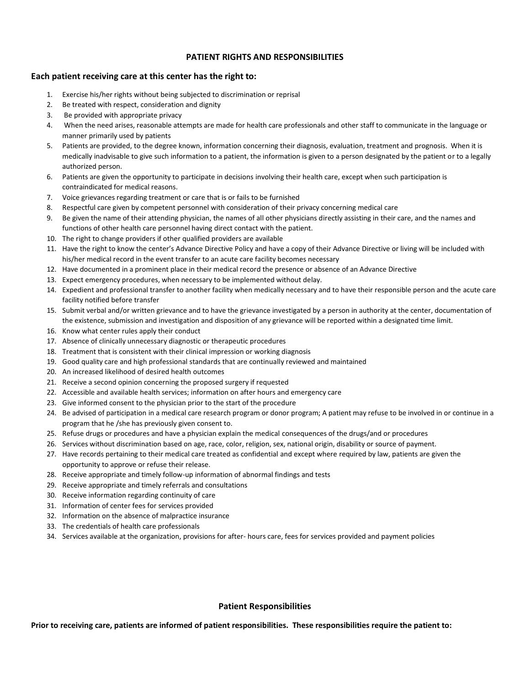## **PATIENT RIGHTS AND RESPONSIBILITIES**

## **Each patient receiving care at this center has the right to:**

- 1. Exercise his/her rights without being subjected to discrimination or reprisal
- 2. Be treated with respect, consideration and dignity
- 3. Be provided with appropriate privacy
- 4. When the need arises, reasonable attempts are made for health care professionals and other staff to communicate in the language or manner primarily used by patients
- 5. Patients are provided, to the degree known, information concerning their diagnosis, evaluation, treatment and prognosis. When it is medically inadvisable to give such information to a patient, the information is given to a person designated by the patient or to a legally authorized person.
- 6. Patients are given the opportunity to participate in decisions involving their health care, except when such participation is contraindicated for medical reasons.
- 7. Voice grievances regarding treatment or care that is or fails to be furnished
- 8. Respectful care given by competent personnel with consideration of their privacy concerning medical care
- 9. Be given the name of their attending physician, the names of all other physicians directly assisting in their care, and the names and functions of other health care personnel having direct contact with the patient.
- 10. The right to change providers if other qualified providers are available
- 11. Have the right to know the center's Advance Directive Policy and have a copy of their Advance Directive or living will be included with his/her medical record in the event transfer to an acute care facility becomes necessary
- 12. Have documented in a prominent place in their medical record the presence or absence of an Advance Directive
- 13. Expect emergency procedures, when necessary to be implemented without delay.
- 14. Expedient and professional transfer to another facility when medically necessary and to have their responsible person and the acute care facility notified before transfer
- 15. Submit verbal and/or written grievance and to have the grievance investigated by a person in authority at the center, documentation of the existence, submission and investigation and disposition of any grievance will be reported within a designated time limit.
- 16. Know what center rules apply their conduct
- 17. Absence of clinically unnecessary diagnostic or therapeutic procedures
- 18. Treatment that is consistent with their clinical impression or working diagnosis
- 19. Good quality care and high professional standards that are continually reviewed and maintained
- 20. An increased likelihood of desired health outcomes
- 21. Receive a second opinion concerning the proposed surgery if requested
- 22. Accessible and available health services; information on after hours and emergency care
- 23. Give informed consent to the physician prior to the start of the procedure
- 24. Be advised of participation in a medical care research program or donor program; A patient may refuse to be involved in or continue in a program that he /she has previously given consent to.
- 25. Refuse drugs or procedures and have a physician explain the medical consequences of the drugs/and or procedures
- 26. Services without discrimination based on age, race, color, religion, sex, national origin, disability or source of payment.
- 27. Have records pertaining to their medical care treated as confidential and except where required by law, patients are given the opportunity to approve or refuse their release.
- 28. Receive appropriate and timely follow-up information of abnormal findings and tests
- 29. Receive appropriate and timely referrals and consultations
- 30. Receive information regarding continuity of care
- 31. Information of center fees for services provided
- 32. Information on the absence of malpractice insurance
- 33. The credentials of health care professionals
- 34. Services available at the organization, provisions for after- hours care, fees for services provided and payment policies

## **Patient Responsibilities**

**Prior to receiving care, patients are informed of patient responsibilities. These responsibilities require the patient to:**